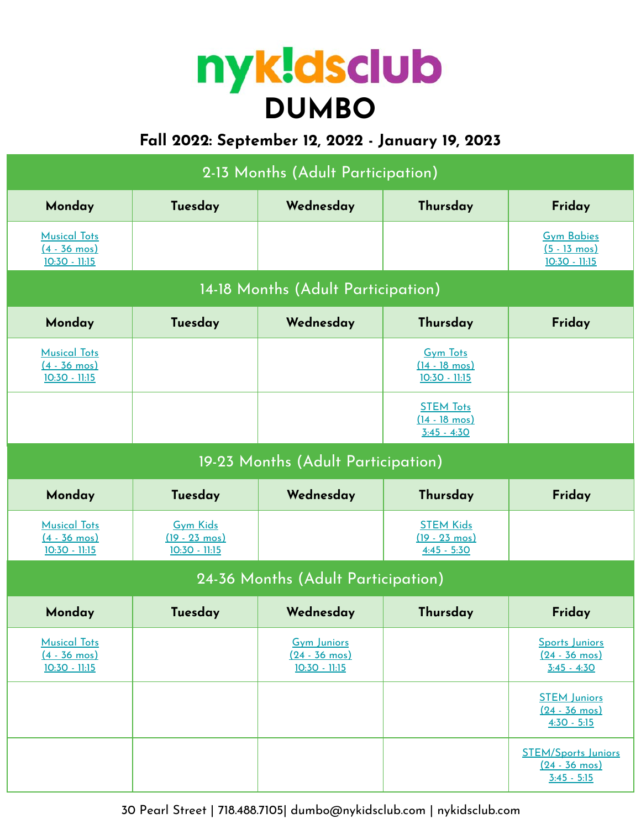# **DUMBO**

# **Fall 2022: September 12, 2022 - January 19, 2023**

| 2-13 Months (Adult Participation)                                |                                                               |                                                                |                                                               |                                                                        |  |  |
|------------------------------------------------------------------|---------------------------------------------------------------|----------------------------------------------------------------|---------------------------------------------------------------|------------------------------------------------------------------------|--|--|
| Monday                                                           | Tuesday                                                       | Wednesday                                                      | Thursday                                                      | Friday                                                                 |  |  |
| <b>Musical Tots</b><br>$(4 - 36 \text{ mos})$<br>$10:30 - 11:15$ |                                                               |                                                                |                                                               | <b>Gym Babies</b><br>$(5 - 13 \text{ mos})$<br>$10:30 - 11:15$         |  |  |
| 14-18 Months (Adult Participation)                               |                                                               |                                                                |                                                               |                                                                        |  |  |
| Wednesday<br>Thursday<br>Monday<br>Tuesday<br>Friday             |                                                               |                                                                |                                                               |                                                                        |  |  |
| <b>Musical Tots</b><br>$(4 - 36 \text{ mos})$<br>$10:30 - 11:15$ |                                                               |                                                                | <b>Gym Tots</b><br>$(14 - 18 \text{ mos})$<br>$10:30 - 11:15$ |                                                                        |  |  |
|                                                                  |                                                               |                                                                | <b>STEM Tots</b><br>$(14 - 18 \text{ mos})$<br>$3:45 - 4:30$  |                                                                        |  |  |
| 19-23 Months (Adult Participation)                               |                                                               |                                                                |                                                               |                                                                        |  |  |
| Monday                                                           | Tuesday                                                       | Wednesday                                                      | Thursday                                                      | Friday                                                                 |  |  |
| <b>Musical Tots</b><br>$(4 - 36 \text{ mos})$<br>$10:30 - 11:15$ | <b>Gym Kids</b><br>$(19 - 23 \text{ mos})$<br>$10:30 - 11:15$ |                                                                | <b>STEM Kids</b><br>$(19 - 23 \text{ mos})$<br>$4:45 - 5:30$  |                                                                        |  |  |
| 24-36 Months (Adult Participation)                               |                                                               |                                                                |                                                               |                                                                        |  |  |
| Monday                                                           | Tuesday                                                       | Wednesday                                                      | Thursday                                                      | Friday                                                                 |  |  |
| <b>Musical Tots</b><br>$(4 - 36 \text{ mos})$<br>$10:30 - 11:15$ |                                                               | <b>Gym Juniors</b><br>$(24 - 36 \text{ mos})$<br>10:30 - 11:15 |                                                               | Sports Juniors<br>$(24 - 36 \text{ mos})$<br>$3:45 - 4:30$             |  |  |
|                                                                  |                                                               |                                                                |                                                               | <b>STEM Juniors</b><br>$(24 - 36 \text{ mos})$<br>$4:30 - 5:15$        |  |  |
|                                                                  |                                                               |                                                                |                                                               | <b>STEM/Sports Juniors</b><br>$(24 - 36 \text{ mos})$<br>$3:45 - 5:15$ |  |  |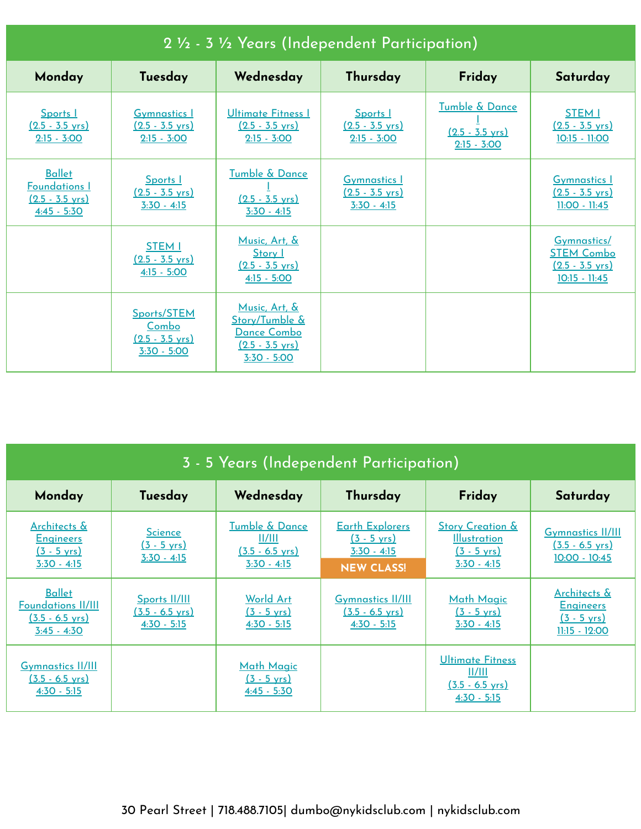| 2 1/2 - 3 1/2 Years (Independent Participation)                                     |                                                                    |                                                                                                      |                                                                   |                                                              |                                                                                  |
|-------------------------------------------------------------------------------------|--------------------------------------------------------------------|------------------------------------------------------------------------------------------------------|-------------------------------------------------------------------|--------------------------------------------------------------|----------------------------------------------------------------------------------|
| Monday                                                                              | Tuesday                                                            | Wednesday                                                                                            | Thursday                                                          | Friday                                                       | Saturday                                                                         |
| Sports I<br>$(2.5 - 3.5 \text{ yrs})$<br>$2:15 - 3:00$                              | <b>Gymnastics I</b><br>$(2.5 - 3.5 \text{ yrs})$<br>$2:15 - 3:00$  | Ultimate Fitness I<br>$(2.5 - 3.5 \text{ yrs})$<br>$2:15 - 3:00$                                     | Sports I<br>$(2.5 - 3.5 \text{ yrs})$<br>$2:15 - 3:00$            | Tumble & Dance<br>$(2.5 - 3.5 \text{ yrs})$<br>$2:15 - 3:00$ | <b>STEM I</b><br>$(2.5 - 3.5 \text{ yrs})$<br>$10:15 - 11:00$                    |
| <b>Ballet</b><br><b>Foundations I</b><br>$(2.5 - 3.5 \text{ yrs})$<br>$4:45 - 5:30$ | Sports I<br>$(2.5 - 3.5 \text{ yrs})$<br>$3:30 - 4:15$             | Tumble & Dance<br>$(2.5 - 3.5 \text{ yrs})$<br>$3:30 - 4:15$                                         | <b>Gymnastics 1</b><br>$(2.5 - 3.5 \text{ yrs})$<br>$3:30 - 4:15$ |                                                              | <b>Gymnastics I</b><br>$(2.5 - 3.5 \text{ yrs})$<br>$11:00 - 11:45$              |
|                                                                                     | <b>STEM I</b><br>$(2.5 - 3.5 \text{ vrs})$<br>$4:15 - 5:00$        | Music, Art, &<br>Story 1<br>$(2.5 - 3.5 \text{ vrs})$<br>$4:15 - 5:00$                               |                                                                   |                                                              | Gymnastics/<br><b>STEM Combo</b><br>$(2.5 - 3.5 \text{ vrs})$<br>$10:15 - 11:45$ |
|                                                                                     | Sports/STEM<br>Combo<br>$(2.5 - 3.5 \text{ vrs})$<br>$3:30 - 5:00$ | Music, Art, &<br>Story/Tumble &<br><u> Dance Combo</u><br>$(2.5 - 3.5 \text{ vrs})$<br>$3:30 - 5:00$ |                                                                   |                                                              |                                                                                  |

| 3 - 5 Years (Independent Participation)                                                  |                                                          |                                                                                                              |                                                                                       |                                                                                              |                                                                                         |
|------------------------------------------------------------------------------------------|----------------------------------------------------------|--------------------------------------------------------------------------------------------------------------|---------------------------------------------------------------------------------------|----------------------------------------------------------------------------------------------|-----------------------------------------------------------------------------------------|
| Monday                                                                                   | Tuesday                                                  | Wednesday                                                                                                    | Thursday                                                                              | Friday                                                                                       | Saturday                                                                                |
| Architects &<br><b>Engineers</b><br>$(3 - 5 \text{ yrs})$<br>$3:30 - 4:15$               | <b>Science</b><br>$(3 - 5 \text{ yrs})$<br>$3:30 - 4:15$ | <b>Tumble &amp; Dance</b><br>$\frac{\text{II/III}}{\text{II}}$<br>$(3.5 - 6.5 \text{ yrs})$<br>$3:30 - 4:15$ | <b>Earth Explorers</b><br>$(3 - 5 \text{ yrs})$<br>$3:30 - 4:15$<br><b>NEW CLASS!</b> | <b>Story Creation &amp;</b><br><b>Illustration</b><br>$(3 - 5 \text{ yrs})$<br>$3:30 - 4:15$ | <b>Gymnastics II/III</b><br>$(3.5 - 6.5 \text{ yrs})$<br>$10:00 - 10:45$                |
| <b>Ballet</b><br><b>Foundations II/III</b><br>$(3.5 - 6.5 \text{ yrs})$<br>$3:45 - 4:30$ | Sports II/III<br><u>(3.5 - 6.5 yrs)</u><br>$4:30 - 5:15$ | World Art<br>$(3 - 5 \text{ yrs})$<br>$4:30 - 5:15$                                                          | <b>Gymnastics II/III</b><br>$(3.5 - 6.5 \text{ yrs})$<br>$4:30 - 5:15$                | <b>Math Magic</b><br>$(3 - 5 \text{ yrs})$<br>$3:30 - 4:15$                                  | <u>Architects &amp;</u><br><b>Engineers</b><br>$(3 - 5 \text{ yrs})$<br>$11:15 - 12:00$ |
| <b>Gymnastics II/III</b><br>$(3.5 - 6.5 \text{ vrs})$<br>$4:30 - 5:15$                   |                                                          | <b>Math Magic</b><br>$(3 - 5 \text{ yrs})$<br>$4:45 - 5:30$                                                  |                                                                                       | Ultimate Fitness<br>  /   <br>$(3.5 - 6.5 \text{ vrs})$<br>$4:30 - 5:15$                     |                                                                                         |